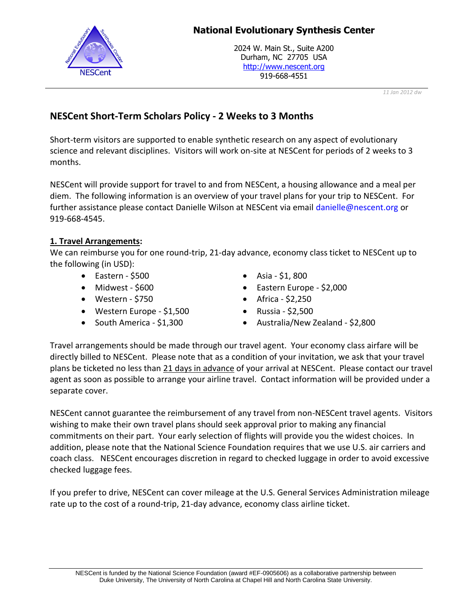

# **National Evolutionary Synthesis Center**

2024 W. Main St., Suite A200 Durham, NC 27705 USA http://www.nescent.org 919-668-4551

*11 Jan 2012 dw*

# **NESCent Short-Term Scholars Policy - 2 Weeks to 3 Months**

Short-term visitors are supported to enable synthetic research on any aspect of evolutionary science and relevant disciplines. Visitors will work on-site at NESCent for periods of 2 weeks to 3 months.

NESCent will provide support for travel to and from NESCent, a housing allowance and a meal per diem. The following information is an overview of your travel plans for your trip to NESCent. For further assistance please contact Danielle Wilson at NESCent via email [danielle@nescent.org](mailto:danielle@nescent.org) or 919-668-4545.

# **1. Travel Arrangements:**

We can reimburse you for one round-trip, 21-day advance, economy class ticket to NESCent up to the following (in USD):

- Eastern \$500
- $\bullet$  Midwest \$600
- Western \$750
- Western Europe \$1,500
- South America \$1,300
- Asia \$1, 800
- Eastern Europe \$2,000
- $\bullet$  Africa \$2,250
- Russia \$2,500
- Australia/New Zealand \$2,800

Travel arrangements should be made through our travel agent. Your economy class airfare will be directly billed to NESCent. Please note that as a condition of your invitation, we ask that your travel plans be ticketed no less than 21 days in advance of your arrival at NESCent. Please contact our travel agent as soon as possible to arrange your airline travel. Contact information will be provided under a separate cover.

NESCent cannot guarantee the reimbursement of any travel from non-NESCent travel agents. Visitors wishing to make their own travel plans should seek approval prior to making any financial commitments on their part. Your early selection of flights will provide you the widest choices. In addition, please note that the National Science Foundation requires that we use U.S. air carriers and coach class. NESCent encourages discretion in regard to checked luggage in order to avoid excessive checked luggage fees.

If you prefer to drive, NESCent can cover mileage at the U.S. General Services Administration mileage rate up to the cost of a round-trip, 21-day advance, economy class airline ticket.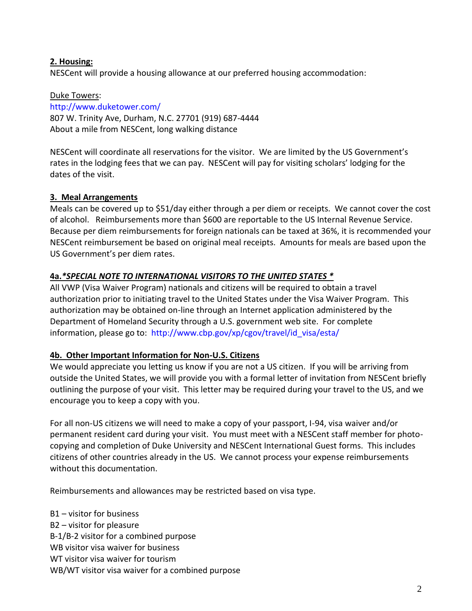## **2. Housing:**

NESCent will provide a housing allowance at our preferred housing accommodation:

## Duke Towers:

<http://www.duketower.com/> 807 W. Trinity Ave, Durham, N.C. 27701 (919) 687-4444 About a mile from NESCent, long walking distance

NESCent will coordinate all reservations for the visitor. We are limited by the US Government's rates in the lodging fees that we can pay. NESCent will pay for visiting scholars' lodging for the dates of the visit.

## **3. Meal Arrangements**

Meals can be covered up to \$51/day either through a per diem or receipts. We cannot cover the cost of alcohol. Reimbursements more than \$600 are reportable to the US Internal Revenue Service. Because per diem reimbursements for foreign nationals can be taxed at 36%, it is recommended your NESCent reimbursement be based on original meal receipts. Amounts for meals are based upon the US Government's per diem rates.

## **4a.***\*SPECIAL NOTE TO INTERNATIONAL VISITORS TO THE UNITED STATES \**

All VWP (Visa Waiver Program) nationals and citizens will be required to obtain a travel authorization prior to initiating travel to the United States under the Visa Waiver Program. This authorization may be obtained on-line through an Internet application administered by the Department of Homeland Security through a U.S. government web site. For complete information, please go to: [http://www.cbp.gov/xp/cgov/travel/id\\_visa/esta/](http://www.cbp.gov/xp/cgov/travel/id_visa/esta/)

## **4b. Other Important Information for Non-U.S. Citizens**

We would appreciate you letting us know if you are not a US citizen. If you will be arriving from outside the United States, we will provide you with a formal letter of invitation from NESCent briefly outlining the purpose of your visit. This letter may be required during your travel to the US, and we encourage you to keep a copy with you.

For all non-US citizens we will need to make a copy of your passport, I-94, visa waiver and/or permanent resident card during your visit. You must meet with a NESCent staff member for photocopying and completion of Duke University and NESCent International Guest forms. This includes citizens of other countries already in the US. We cannot process your expense reimbursements without this documentation.

Reimbursements and allowances may be restricted based on visa type.

B1 – visitor for business B2 – visitor for pleasure B-1/B-2 visitor for a combined purpose WB visitor visa waiver for business WT visitor visa waiver for tourism WB/WT visitor visa waiver for a combined purpose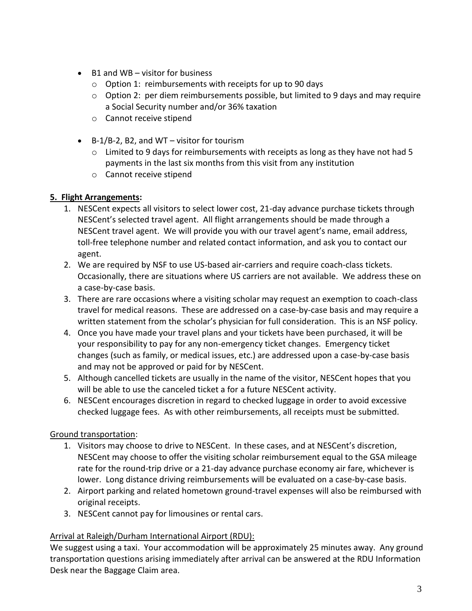- B1 and WB visitor for business
	- o Option 1: reimbursements with receipts for up to 90 days
	- $\circ$  Option 2: per diem reimbursements possible, but limited to 9 days and may require a Social Security number and/or 36% taxation
	- o Cannot receive stipend
- $\bullet$  B-1/B-2, B2, and WT visitor for tourism
	- $\circ$  Limited to 9 days for reimbursements with receipts as long as they have not had 5 payments in the last six months from this visit from any institution
	- o Cannot receive stipend

# **5. Flight Arrangements:**

- 1. NESCent expects all visitors to select lower cost, 21-day advance purchase tickets through NESCent's selected travel agent. All flight arrangements should be made through a NESCent travel agent. We will provide you with our travel agent's name, email address, toll-free telephone number and related contact information, and ask you to contact our agent.
- 2. We are required by NSF to use US-based air-carriers and require coach-class tickets. Occasionally, there are situations where US carriers are not available. We address these on a case-by-case basis.
- 3. There are rare occasions where a visiting scholar may request an exemption to coach-class travel for medical reasons. These are addressed on a case-by-case basis and may require a written statement from the scholar's physician for full consideration. This is an NSF policy.
- 4. Once you have made your travel plans and your tickets have been purchased, it will be your responsibility to pay for any non-emergency ticket changes. Emergency ticket changes (such as family, or medical issues, etc.) are addressed upon a case-by-case basis and may not be approved or paid for by NESCent.
- 5. Although cancelled tickets are usually in the name of the visitor, NESCent hopes that you will be able to use the canceled ticket a for a future NESCent activity.
- 6. NESCent encourages discretion in regard to checked luggage in order to avoid excessive checked luggage fees. As with other reimbursements, all receipts must be submitted.

# Ground transportation:

- 1. Visitors may choose to drive to NESCent. In these cases, and at NESCent's discretion, NESCent may choose to offer the visiting scholar reimbursement equal to the GSA mileage rate for the round-trip drive or a 21-day advance purchase economy air fare, whichever is lower. Long distance driving reimbursements will be evaluated on a case-by-case basis.
- 2. Airport parking and related hometown ground-travel expenses will also be reimbursed with original receipts.
- 3. NESCent cannot pay for limousines or rental cars.

# Arrival at Raleigh/Durham International Airport (RDU):

We suggest using a taxi. Your accommodation will be approximately 25 minutes away. Any ground transportation questions arising immediately after arrival can be answered at the RDU Information Desk near the Baggage Claim area.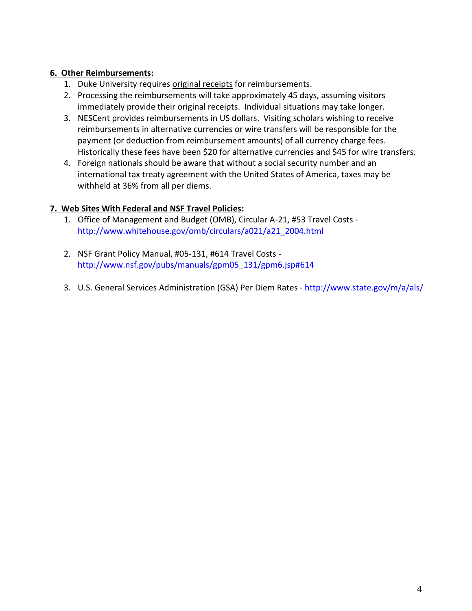# **6. Other Reimbursements:**

- 1. Duke University requires original receipts for reimbursements.
- 2. Processing the reimbursements will take approximately 45 days, assuming visitors immediately provide their original receipts. Individual situations may take longer.
- 3. NESCent provides reimbursements in US dollars. Visiting scholars wishing to receive reimbursements in alternative currencies or wire transfers will be responsible for the payment (or deduction from reimbursement amounts) of all currency charge fees. Historically these fees have been \$20 for alternative currencies and \$45 for wire transfers.
- 4. Foreign nationals should be aware that without a social security number and an international tax treaty agreement with the United States of America, taxes may be withheld at 36% from all per diems.

# **7. Web Sites With Federal and NSF Travel Policies:**

- 1. Office of Management and Budget (OMB), Circular A-21, #53 Travel Costs [http://www.whitehouse.gov/omb/circulars/a021/a21\\_2004.html](http://www.whitehouse.gov/omb/circulars/a021/a21_2004.html)
- 2. NSF Grant Policy Manual, #05-131, #614 Travel Costs [http://www.nsf.gov/pubs/manuals/gpm05\\_131/gpm6.jsp#614](http://www.nsf.gov/pubs/manuals/gpm05_131/gpm6.jsp#614)
- 3. U.S. General Services Administration (GSA) Per Diem Rates <http://www.state.gov/m/a/als/>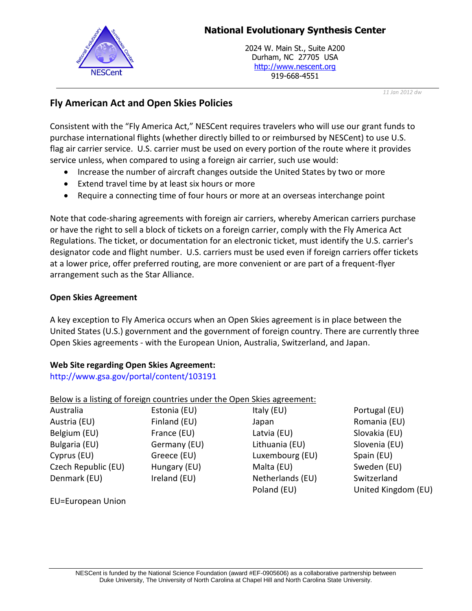# **National Evolutionary Synthesis Center**



2024 W. Main St., Suite A200 Durham, NC 27705 USA http://www.nescent.org 919-668-4551

*11 Jan 2012 dw*

# **Fly American Act and Open Skies Policies**

Consistent with the "Fly America Act," NESCent requires travelers who will use our grant funds to purchase international flights (whether directly billed to or reimbursed by NESCent) to use U.S. flag air carrier service. U.S. carrier must be used on every portion of the route where it provides service unless, when compared to using a foreign air carrier, such use would:

- Increase the number of aircraft changes outside the United States by two or more
- Extend travel time by at least six hours or more
- Require a connecting time of four hours or more at an overseas interchange point

Note that code-sharing agreements with foreign air carriers, whereby American carriers purchase or have the right to sell a block of tickets on a foreign carrier, comply with the Fly America Act Regulations. The ticket, or documentation for an electronic ticket, must identify the U.S. carrier's designator code and flight number. U.S. carriers must be used even if foreign carriers offer tickets at a lower price, offer preferred routing, are more convenient or are part of a frequent-flyer arrangement such as the Star Alliance.

# **Open Skies Agreement**

A key exception to Fly America occurs when an Open Skies agreement is in place between the United States (U.S.) government and the government of foreign country. There are currently three Open Skies agreements - with the European Union, Australia, Switzerland, and Japan.

# **Web Site regarding Open Skies Agreement:**

<http://www.gsa.gov/portal/content/103191>

| Below is a listing of foreign countries under the Open Skies agreement: |                  |                     |
|-------------------------------------------------------------------------|------------------|---------------------|
| Estonia (EU)                                                            | Italy (EU)       | Portugal (EU)       |
| Finland (EU)                                                            | Japan            | Romania (EU)        |
| France (EU)                                                             | Latvia (EU)      | Slovakia (EU)       |
| Germany (EU)                                                            | Lithuania (EU)   | Slovenia (EU)       |
| Greece (EU)                                                             | Luxembourg (EU)  | Spain (EU)          |
| Hungary (EU)                                                            | Malta (EU)       | Sweden (EU)         |
| Ireland (EU)                                                            | Netherlands (EU) | Switzerland         |
|                                                                         | Poland (EU)      | United Kingdom (EU) |
|                                                                         |                  |                     |

EU=European Union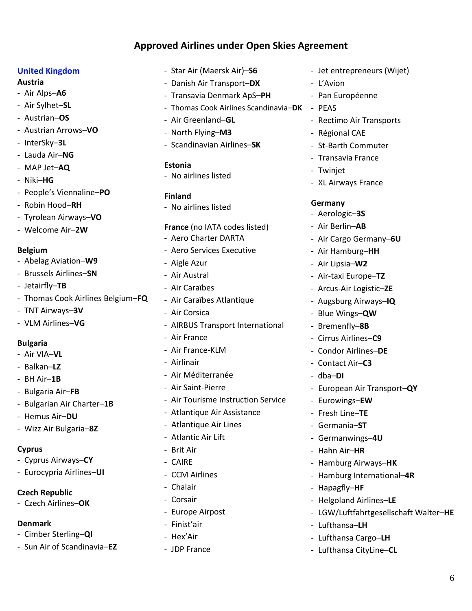# **Approved Airlines under Open Skies Agreement**

### **United Kingdom**

#### **Austria**

- Air Alps–**A6**
- Air Sylhet–**SL**
- Austrian–**OS**
- Austrian Arrows–**VO**
- InterSky–**3L**
- Lauda Air–**NG**
- MAP Jet–**AQ**
- Niki–**HG**
- People's Viennaline–**PO**
- Robin Hood–**RH**
- Tyrolean Airways–**VO**
- Welcome Air–**2W**

#### **Belgium**

- Abelag Aviation–**W9**
- Brussels Airlines–**SN**
- Jetairfly–**TB**
- Thomas Cook Airlines Belgium–**FQ**
- TNT Airways–**3V**
- VLM Airlines–**VG**

## **Bulgaria**

- Air VIA–**VL**
- Balkan–**LZ**
- BH Air–**1B**
- Bulgaria Air–**FB**
- Bulgarian Air Charter–**1B**
- Hemus Air–**DU**
- Wizz Air Bulgaria–**8Z**

#### **Cyprus**

- Cyprus Airways–**CY**
- Eurocypria Airlines–**UI**

## **Czech Republic**

- Czech Airlines–**OK**

## **Denmark**

- Cimber Sterling–**QI**
- Sun Air of Scandinavia–**EZ**
- Star Air (Maersk Air)–**S6**
- Danish Air Transport–**DX**
- Transavia Denmark ApS–**PH**
- Thomas Cook Airlines Scandinavia–**DK** PEAS
- Air Greenland–**GL**
- North Flying–**M3**
- Scandinavian Airlines–**SK**

## **Estonia**

- No airlines listed

### **Finland**

- No airlines listed

#### **France** (no IATA codes listed)

- Aero Charter DARTA
- Aero Services Executive
- Aigle Azur
- Air Austral
- Air Caraïbes
- Air Caraïbes Atlantique
- Air Corsica
- AIRBUS Transport International
- Air France
- Air France-KLM
- Airlinair
- Air Méditerranée
- Air Saint-Pierre
- Air Tourisme Instruction Service
- Atlantique Air Assistance
- Atlantique Air Lines
- Atlantic Air Lift
- Brit Air
- CAIRE
- CCM Airlines
- Chalair
- Corsair
- Europe Airpost
- Finist'air
- Hex'Air
- JDP France
- Jet entrepreneurs (Wijet)
- L'Avion
- Pan Européenne
- 
- Rectimo Air Transports
- Régional CAE
- St-Barth Commuter
- Transavia France
- Twinjet
- XL Airways France

## **Germany**

- Aerologic–**3S**
- Air Berlin–**AB**
- Air Cargo Germany–**6U**
- Air Hamburg–**HH**
- Air Lipsia–**W2**
- Air-taxi Europe–**TZ**
- Arcus-Air Logistic–**ZE**
- Augsburg Airways–**IQ**
- Blue Wings–**QW**
- Bremenfly–**8B**
- Cirrus Airlines–**C9**
- Condor Airlines–**DE**

- European Air Transport–**QY**

6

- Contact Air–**C3**

- Eurowings–**EW** - Fresh Line–**TE** - Germania–**ST**

- Germanwings–**4U** - Hahn Air–**HR**

- Hapagfly–**HF**

- Lufthansa–**LH**

- Hamburg Airways–**HK** - Hamburg International–**4R**

- Helgoland Airlines–**LE**

- Lufthansa Cargo–**LH** - Lufthansa CityLine–**CL**

- LGW/Luftfahrtgesellschaft Walter–**HE**

- dba–**DI**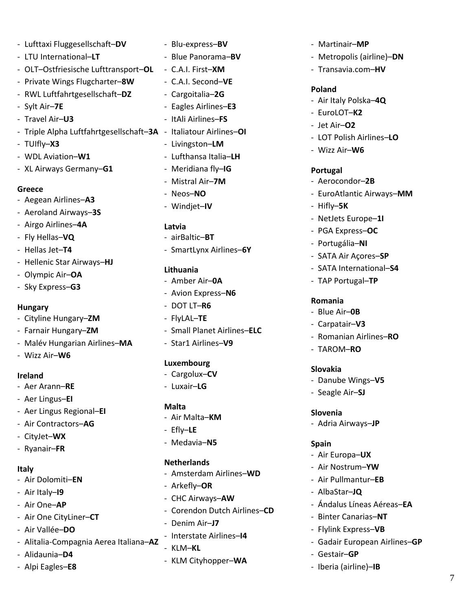- Lufttaxi Fluggesellschaft–**DV** - LTU International–**LT** - OLT–Ostfriesische Lufttransport–**OL** - Private Wings Flugcharter–**8W** - RWL Luftfahrtgesellschaft–**DZ** - Sylt Air–**7E** - Travel Air–**U3** - Triple Alpha Luftfahrtgesellschaft–**3A** - Italiatour Airlines–**OI** - TUIfly–**X3** - WDL Aviation–**W1** - XL Airways Germany–**G1**

### **Greece**

- Aegean Airlines–**A3**
- Aeroland Airways–**3S**
- Airgo Airlines–**4A**
- Fly Hellas–**VQ**
- Hellas Jet–**T4**
- Hellenic Star Airways–**HJ**
- Olympic Air–**OA**
- Sky Express–**G3**

#### **Hungary**

- Cityline Hungary–**ZM**
- Farnair Hungary–**ZM**
- Malév Hungarian Airlines–**MA**
- Wizz Air–**W6**

#### **Ireland**

- Aer Arann–**RE**
- Aer Lingus–**EI**
- Aer Lingus Regional–**EI**
- Air Contractors–**AG**
- CityJet–**WX**
- Ryanair–**FR**

#### **Italy**

- Air Dolomiti–**EN**
- Air Italy–**I9**
- Air One–**AP**
- Air One CityLiner–**CT**
- Air Vallée–**DO**
- Alitalia-Compagnia Aerea Italiana–**AZ**
- Alidaunia–**D4**
- Alpi Eagles–**E8**

- Blu-express–**BV** - Blue Panorama–**BV** - C.A.I. First–**XM** - C.A.I. Second–**VE** - Cargoitalia–**2G** - Eagles Airlines–**E3** - ItAli Airlines–**FS** - Livingston–**LM** - Lufthansa Italia–**LH** - Meridiana fly–**IG** - Mistral Air–**7M** - Neos–**NO** - Windjet–**IV**

## **Latvia**

- airBaltic–**BT** - SmartLynx Airlines–**6Y**

#### **Lithuania**

- Amber Air–**0A**
- Avion Express–**N6**
- DOT LT–**R6**
- FlyLAL–**TE**
- Small Planet Airlines–**ELC**
- Star1 Airlines–**V9**

#### **Luxembourg**

- Cargolux–**CV**
- Luxair–**LG**

#### **Malta**

- Air Malta–**KM**
- Efly–**LE**
- Medavia–**N5**

#### **Netherlands**

- Amsterdam Airlines–**WD**
- Arkefly–**OR**
- CHC Airways–**AW**
- Corendon Dutch Airlines–**CD**
- Denim Air–**J7**
- Interstate Airlines–**I4**
- KLM–**KL**
- KLM Cityhopper–**WA**
- Martinair–**MP**
- Metropolis (airline)–**DN**
- Transavia.com–**HV**

#### **Poland**

- Air Italy Polska–**4Q**
- EuroLOT–**K2**
- Jet Air–**O2**
- LOT Polish Airlines–**LO**
- Wizz Air–**W6**

#### **Portugal**

- Aerocondor–**2B**
- EuroAtlantic Airways–**MM**
- Hifly–**5K**
- NetJets Europe–**1I**
- PGA Express–**OC**
- Portugália–**NI**
- SATA Air Açores–**SP**
- SATA International–**S4**
- TAP Portugal–**TP**

### **Romania**

- Blue Air–**0B**
- Carpatair–**V3**
- Romanian Airlines–**RO**
- TAROM–**RO**

#### **Slovakia**

- Danube Wings–**V5**
- Seagle Air–**SJ**

#### **Slovenia**

- Adria Airways–**JP**

#### **Spain**

- Air Europa–**UX**
- Air Nostrum–**YW**
- Air Pullmantur–**EB**
- AlbaStar–**JQ**
- Ándalus Líneas Aéreas–**EA**
- Binter Canarias–**NT**
- Flylink Express–**VB**
- Gadair European Airlines–**GP**
- Gestair–**GP**
- Iberia (airline)–**IB**